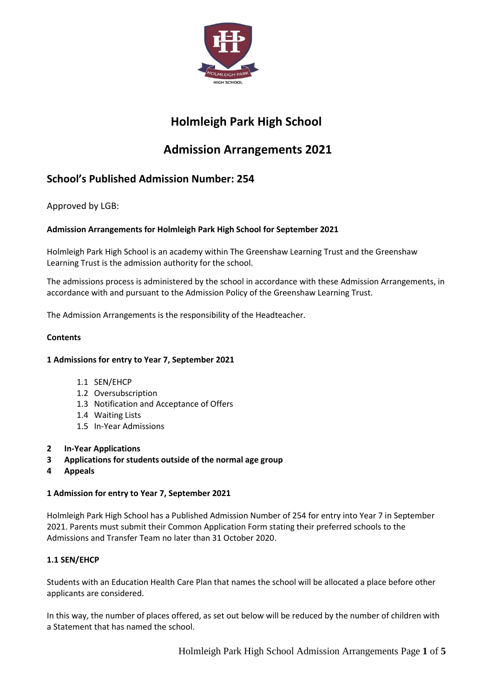

# **Holmleigh Park High School**

# **Admission Arrangements 2021**

# **School's Published Admission Number: 254**

Approved by LGB:

# **Admission Arrangements for Holmleigh Park High School for September 2021**

Holmleigh Park High School is an academy within The Greenshaw Learning Trust and the Greenshaw Learning Trust is the admission authority for the school.

The admissions process is administered by the school in accordance with these Admission Arrangements, in accordance with and pursuant to the Admission Policy of the Greenshaw Learning Trust.

The Admission Arrangements is the responsibility of the Headteacher.

# **Contents**

# **1 Admissions for entry to Year 7, September 2021**

- 1.1 SEN/EHCP
- 1.2 Oversubscription
- 1.3 Notification and Acceptance of Offers
- 1.4 Waiting Lists
- 1.5 In-Year Admissions
- **2 In-Year Applications**
- **3 Applications for students outside of the normal age group**
- **4 Appeals**

# **1 Admission for entry to Year 7, September 2021**

Holmleigh Park High School has a Published Admission Number of 254 for entry into Year 7 in September 2021. Parents must submit their Common Application Form stating their preferred schools to the Admissions and Transfer Team no later than 31 October 2020.

# **1.1 SEN/EHCP**

Students with an Education Health Care Plan that names the school will be allocated a place before other applicants are considered.

In this way, the number of places offered, as set out below will be reduced by the number of children with a Statement that has named the school.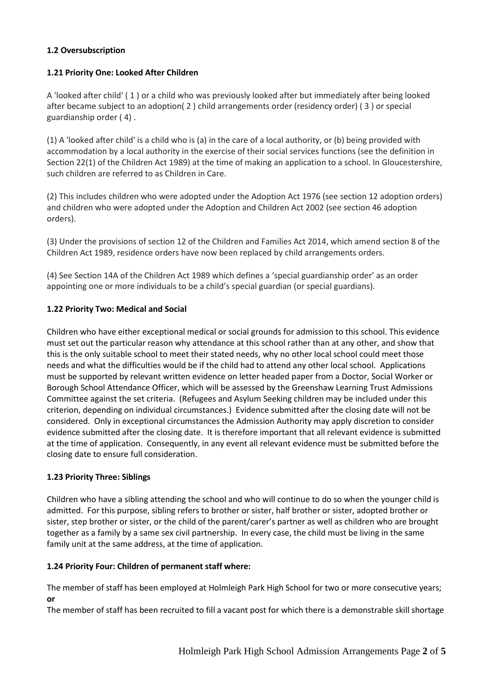# **1.2 Oversubscription**

#### **1.21 Priority One: Looked After Children**

A 'looked after child' ( 1 ) or a child who was previously looked after but immediately after being looked after became subject to an adoption( 2 ) child arrangements order (residency order) ( 3 ) or special guardianship order ( 4) .

(1) A 'looked after child' is a child who is (a) in the care of a local authority, or (b) being provided with accommodation by a local authority in the exercise of their social services functions (see the definition in Section 22(1) of the Children Act 1989) at the time of making an application to a school. In Gloucestershire, such children are referred to as Children in Care.

(2) This includes children who were adopted under the Adoption Act 1976 (see section 12 adoption orders) and children who were adopted under the Adoption and Children Act 2002 (see section 46 adoption orders).

(3) Under the provisions of section 12 of the Children and Families Act 2014, which amend section 8 of the Children Act 1989, residence orders have now been replaced by child arrangements orders.

(4) See Section 14A of the Children Act 1989 which defines a 'special guardianship order' as an order appointing one or more individuals to be a child's special guardian (or special guardians).

#### **1.22 Priority Two: Medical and Social**

Children who have either exceptional medical or social grounds for admission to this school. This evidence must set out the particular reason why attendance at this school rather than at any other, and show that this is the only suitable school to meet their stated needs, why no other local school could meet those needs and what the difficulties would be if the child had to attend any other local school. Applications must be supported by relevant written evidence on letter headed paper from a Doctor, Social Worker or Borough School Attendance Officer, which will be assessed by the Greenshaw Learning Trust Admissions Committee against the set criteria. (Refugees and Asylum Seeking children may be included under this criterion, depending on individual circumstances.) Evidence submitted after the closing date will not be considered. Only in exceptional circumstances the Admission Authority may apply discretion to consider evidence submitted after the closing date. It is therefore important that all relevant evidence is submitted at the time of application. Consequently, in any event all relevant evidence must be submitted before the closing date to ensure full consideration.

# **1.23 Priority Three: Siblings**

Children who have a sibling attending the school and who will continue to do so when the younger child is admitted. For this purpose, sibling refers to brother or sister, half brother or sister, adopted brother or sister, step brother or sister, or the child of the parent/carer's partner as well as children who are brought together as a family by a same sex civil partnership. In every case, the child must be living in the same family unit at the same address, at the time of application.

# **1.24 Priority Four: Children of permanent staff where:**

The member of staff has been employed at Holmleigh Park High School for two or more consecutive years; **or**

The member of staff has been recruited to fill a vacant post for which there is a demonstrable skill shortage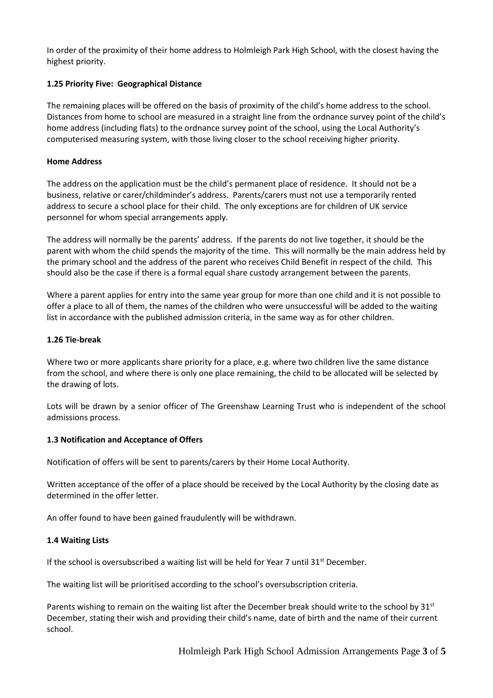In order of the proximity of their home address to Holmleigh Park High School, with the closest having the highest priority.

### **1.25 Priority Five: Geographical Distance**

The remaining places will be offered on the basis of proximity of the child's home address to the school. Distances from home to school are measured in a straight line from the ordnance survey point of the child's home address (including flats) to the ordnance survey point of the school, using the Local Authority's computerised measuring system, with those living closer to the school receiving higher priority.

#### **Home Address**

The address on the application must be the child's permanent place of residence. It should not be a business, relative or carer/childminder's address. Parents/carers must not use a temporarily rented address to secure a school place for their child. The only exceptions are for children of UK service personnel for whom special arrangements apply.

The address will normally be the parents' address. If the parents do not live together, it should be the parent with whom the child spends the majority of the time. This will normally be the main address held by the primary school and the address of the parent who receives Child Benefit in respect of the child. This should also be the case if there is a formal equal share custody arrangement between the parents.

Where a parent applies for entry into the same year group for more than one child and it is not possible to offer a place to all of them, the names of the children who were unsuccessful will be added to the waiting list in accordance with the published admission criteria, in the same way as for other children.

#### **1.26 Tie-break**

Where two or more applicants share priority for a place, e.g. where two children live the same distance from the school, and where there is only one place remaining, the child to be allocated will be selected by the drawing of lots.

Lots will be drawn by a senior officer of The Greenshaw Learning Trust who is independent of the school admissions process.

#### **1.3 Notification and Acceptance of Offers**

Notification of offers will be sent to parents/carers by their Home Local Authority.

Written acceptance of the offer of a place should be received by the Local Authority by the closing date as determined in the offer letter.

An offer found to have been gained fraudulently will be withdrawn.

#### **1.4 Waiting Lists**

If the school is oversubscribed a waiting list will be held for Year 7 until  $31<sup>st</sup>$  December.

The waiting list will be prioritised according to the school's oversubscription criteria.

Parents wishing to remain on the waiting list after the December break should write to the school by  $31<sup>st</sup>$ December, stating their wish and providing their child's name, date of birth and the name of their current school.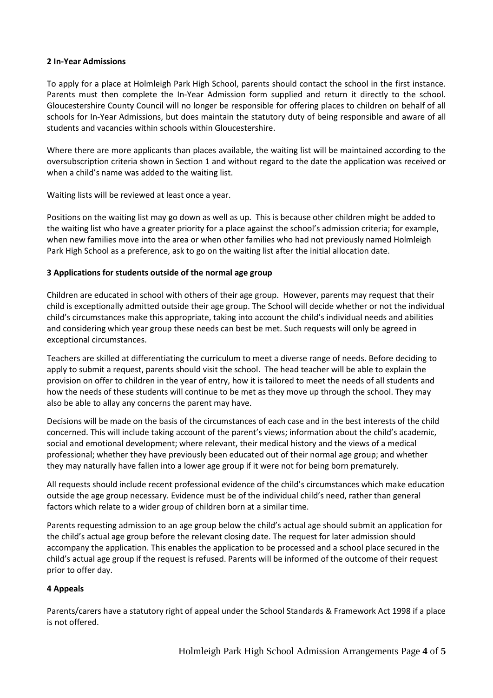#### **2 In-Year Admissions**

To apply for a place at Holmleigh Park High School, parents should contact the school in the first instance. Parents must then complete the In-Year Admission form supplied and return it directly to the school. Gloucestershire County Council will no longer be responsible for offering places to children on behalf of all schools for In-Year Admissions, but does maintain the statutory duty of being responsible and aware of all students and vacancies within schools within Gloucestershire.

Where there are more applicants than places available, the waiting list will be maintained according to the oversubscription criteria shown in Section 1 and without regard to the date the application was received or when a child's name was added to the waiting list.

Waiting lists will be reviewed at least once a year.

Positions on the waiting list may go down as well as up. This is because other children might be added to the waiting list who have a greater priority for a place against the school's admission criteria; for example, when new families move into the area or when other families who had not previously named Holmleigh Park High School as a preference, ask to go on the waiting list after the initial allocation date.

#### **3 Applications for students outside of the normal age group**

Children are educated in school with others of their age group. However, parents may request that their child is exceptionally admitted outside their age group. The School will decide whether or not the individual child's circumstances make this appropriate, taking into account the child's individual needs and abilities and considering which year group these needs can best be met. Such requests will only be agreed in exceptional circumstances.

Teachers are skilled at differentiating the curriculum to meet a diverse range of needs. Before deciding to apply to submit a request, parents should visit the school. The head teacher will be able to explain the provision on offer to children in the year of entry, how it is tailored to meet the needs of all students and how the needs of these students will continue to be met as they move up through the school. They may also be able to allay any concerns the parent may have.

Decisions will be made on the basis of the circumstances of each case and in the best interests of the child concerned. This will include taking account of the parent's views; information about the child's academic, social and emotional development; where relevant, their medical history and the views of a medical professional; whether they have previously been educated out of their normal age group; and whether they may naturally have fallen into a lower age group if it were not for being born prematurely.

All requests should include recent professional evidence of the child's circumstances which make education outside the age group necessary. Evidence must be of the individual child's need, rather than general factors which relate to a wider group of children born at a similar time.

Parents requesting admission to an age group below the child's actual age should submit an application for the child's actual age group before the relevant closing date. The request for later admission should accompany the application. This enables the application to be processed and a school place secured in the child's actual age group if the request is refused. Parents will be informed of the outcome of their request prior to offer day.

# **4 Appeals**

Parents/carers have a statutory right of appeal under the School Standards & Framework Act 1998 if a place is not offered.